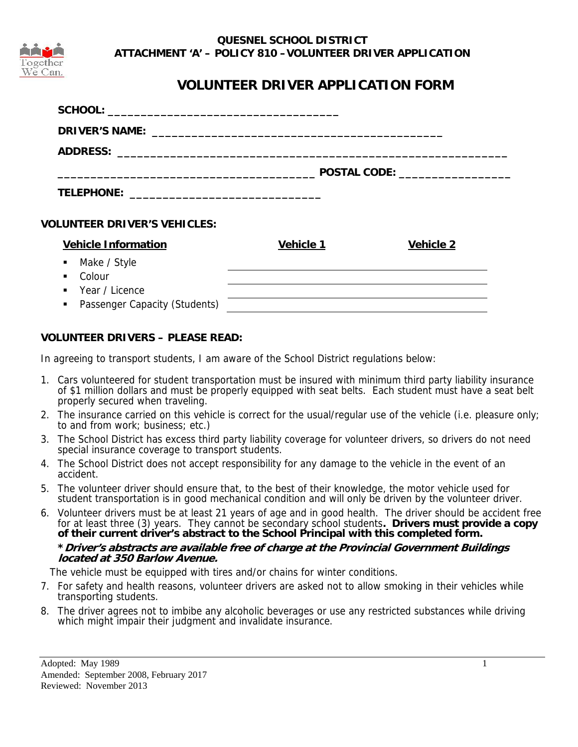

## **QUESNEL SCHOOL DISTRICT ATTACHMENT 'A' – POLICY 810 –VOLUNTEER DRIVER APPLICATION**

# **VOLUNTEER DRIVER APPLICATION FORM**

| <b>VOLUNTEER DRIVER'S VEHICLES:</b>             |                  |                  |
|-------------------------------------------------|------------------|------------------|
| <b>Vehicle Information</b>                      | <b>Vehicle 1</b> | <b>Vehicle 2</b> |
| • Make / Style                                  |                  |                  |
| Colour<br>٠                                     |                  |                  |
| ■ Year / Licence                                |                  |                  |
| Passenger Capacity (Students)<br>$\blacksquare$ |                  |                  |

## **VOLUNTEER DRIVERS – PLEASE READ:**

In agreeing to transport students, I am aware of the School District regulations below:

- 1. Cars volunteered for student transportation must be insured with minimum third party liability insurance of \$1 million dollars and must be properly equipped with seat belts. Each student must have a seat belt properly secured when traveling.
- 2. The insurance carried on this vehicle is correct for the usual/regular use of the vehicle (i.e. pleasure only; to and from work; business; etc.)
- 3. The School District has excess third party liability coverage for volunteer drivers, so drivers do not need special insurance coverage to transport students.
- 4. The School District does not accept responsibility for any damage to the vehicle in the event of an accident.
- 5. The volunteer driver should ensure that, to the best of their knowledge, the motor vehicle used for student transportation is in good mechanical condition and will only be driven by the volunteer driver.
- 6. Volunteer drivers must be at least 21 years of age and in good health. The driver should be accident free for at least three (3) years. They cannot be secondary school students**. Drivers must provide a copy**  of their current driver's abstract to the School Principal with this completed form. **\*Driver's abstracts are available free of charge at the Provincial Government Buildings located at 350 Barlow Avenue.**

The vehicle must be equipped with tires and/or chains for winter conditions.

- 7. For safety and health reasons, volunteer drivers are asked not to allow smoking in their vehicles while transporting students.
- 8. The driver agrees not to imbibe any alcoholic beverages or use any restricted substances while driving which might impair their judgment and invalidate insurance.